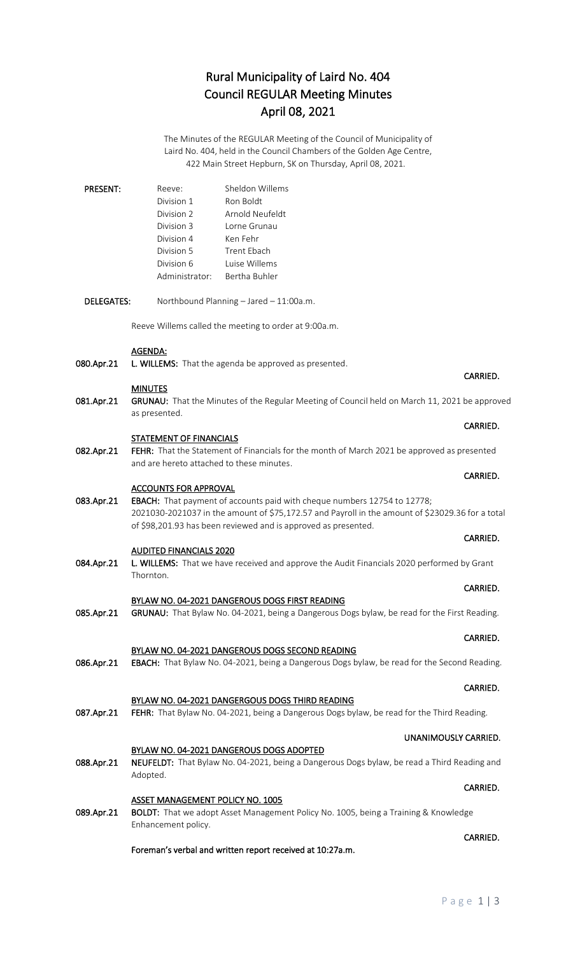# Rural Municipality of Laird No. 404 Council REGULAR Meeting Minutes April 08, 2021

The Minutes of the REGULAR Meeting of the Council of Municipality of Laird No. 404, held in the Council Chambers of the Golden Age Centre, 422 Main Street Hepburn, SK on Thursday, April 08, 2021.

| <b>PRESENT:</b> | Reeve:         | Sheldon Willems |
|-----------------|----------------|-----------------|
|                 | Division 1     | Ron Boldt       |
|                 | Division 2     | Arnold Neufeldt |
|                 | Division 3     | Lorne Grunau    |
|                 | Division 4     | Ken Fehr        |
|                 | Division 5     | Trent Fhach     |
|                 | Division 6     | Luise Willems   |
|                 | Administrator: | Bertha Buhler   |

DELEGATES: Northbound Planning – Jared – 11:00a.m.

Reeve Willems called the meeting to order at 9:00a.m.

### AGENDA:

080.Apr.21 L. WILLEMS: That the agenda be approved as presented.

### MINUTES

081.Apr.21 GRUNAU: That the Minutes of the Regular Meeting of Council held on March 11, 2021 be approved as presented.

### STATEMENT OF FINANCIALS

082.Apr.21 FEHR: That the Statement of Financials for the month of March 2021 be approved as presented and are hereto attached to these minutes.

#### ACCOUNTS FOR APPROVAL

083.Apr.21 EBACH: That payment of accounts paid with cheque numbers 12754 to 12778; 2021030-2021037 in the amount of \$75,172.57 and Payroll in the amount of \$23029.36 for a total of \$98,201.93 has been reviewed and is approved as presented.

## AUDITED FINANCIALS 2020

084.Apr.21 L. WILLEMS: That we have received and approve the Audit Financials 2020 performed by Grant Thornton.

## BYLAW NO. 04-2021 DANGEROUS DOGS FIRST READING

085.Apr.21 GRUNAU: That Bylaw No. 04-2021, being a Dangerous Dogs bylaw, be read for the First Reading.

## BYLAW NO. 04-2021 DANGEROUS DOGS SECOND READING

086.Apr.21 EBACH: That Bylaw No. 04-2021, being a Dangerous Dogs bylaw, be read for the Second Reading.

### BYLAW NO. 04-2021 DANGERGOUS DOGS THIRD READING 087.Apr.21 FEHR: That Bylaw No. 04-2021, being a Dangerous Dogs bylaw, be read for the Third Reading.

## BYLAW NO. 04-2021 DANGEROUS DOGS ADOPTED

088.Apr.21 NEUFELDT: That Bylaw No. 04-2021, being a Dangerous Dogs bylaw, be read a Third Reading and Adopted.

**CARRIED.** The contract of the contract of the contract of the contract of the contract of the contract of the contract of the contract of the contract of the contract of the contract of the contract of the contract of the

## ASSET MANAGEMENT POLICY NO. 1005

089.Apr.21 BOLDT: That we adopt Asset Management Policy No. 1005, being a Training & Knowledge Enhancement policy.

## Foreman's verbal and written report received at 10:27a.m.

## CARRIED.

## **CARRIED. CARRIED.**

## **CARRIED. CARRIED.**

## CARRIED.

# **CARRIED. CARRIED.**

# CARRIED.

## CARRIED.

# UNANIMOUSLY CARRIED.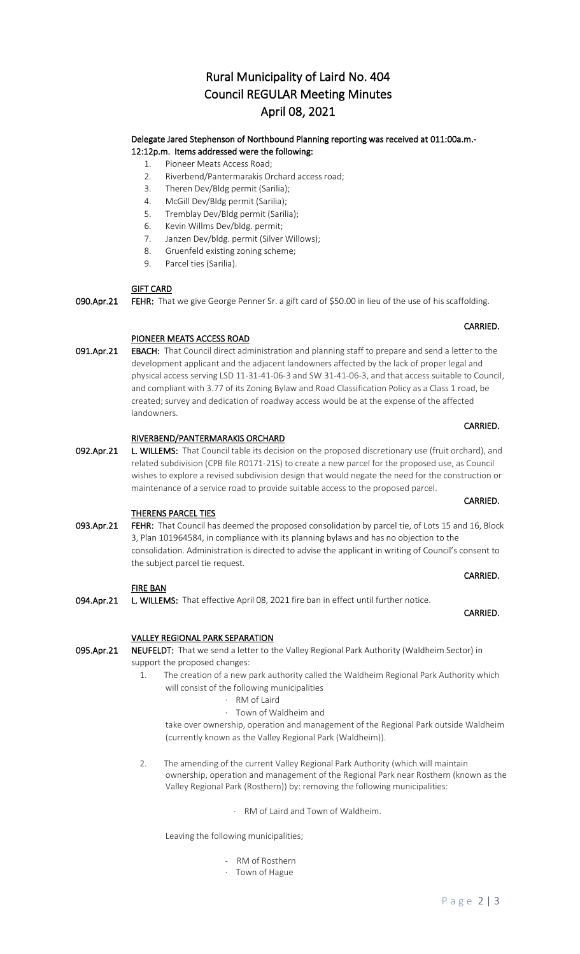# Rural Municipality of Laird No. 404 Council REGULAR Meeting Minutes April 08, 2021

## Delegate Jared Stephenson of Northbound Planning reporting was received at 011:00a.m.- 12:12p.m. Items addressed were the following:

- 1. Pioneer Meats Access Road;
- 2. Riverbend/Pantermarakis Orchard access road;
- 3. Theren Dev/Bldg permit (Sarilia);
- 4. McGill Dev/Bldg permit (Sarilia);
- 5. Tremblay Dev/Bldg permit (Sarilia);
- 6. Kevin Willms Dev/bldg. permit;
- 7. Janzen Dev/bldg. permit (Silver Willows);
- 8. Gruenfeld existing zoning scheme;
- 9. Parcel ties (Sarilia).

## GIFT CARD

090.Apr.21 FEHR: That we give George Penner Sr. a gift card of \$50.00 in lieu of the use of his scaffolding.

## PIONEER MEATS ACCESS ROAD

091.Apr.21 EBACH: That Council direct administration and planning staff to prepare and send a letter to the development applicant and the adjacent landowners affected by the lack of proper legal and physical access serving LSD 11-31-41-06-3 and SW 31-41-06-3, and that access suitable to Council, and compliant with 3.77 of its Zoning Bylaw and Road Classification Policy as a Class 1 road, be created; survey and dedication of roadway access would be at the expense of the affected landowners.

**CARRIED.** The contract of the contract of the contract of the contract of the contract of the contract of the contract of the contract of the contract of the contract of the contract of the contract of the contract of the

## RIVERBEND/PANTERMARAKIS ORCHARD

092.Apr.21 L. WILLEMS: That Council table its decision on the proposed discretionary use (fruit orchard), and related subdivision (CPB file R0171-21S) to create a new parcel for the proposed use, as Council wishes to explore a revised subdivision design that would negate the need for the construction or maintenance of a service road to provide suitable access to the proposed parcel.

## THERENS PARCEL TIES

093.Apr.21 FEHR: That Council has deemed the proposed consolidation by parcel tie, of Lots 15 and 16, Block 3, Plan 101964584, in compliance with its planning bylaws and has no objection to the consolidation. Administration is directed to advise the applicant in writing of Council's consent to the subject parcel tie request.

## FIRE BAN

094.Apr.21 L. WILLEMS: That effective April 08, 2021 fire ban in effect until further notice.

## VALLEY REGIONAL PARK SEPARATION

095.Apr.21 NEUFELDT: That we send a letter to the Valley Regional Park Authority (Waldheim Sector) in support the proposed changes:

- 1. The creation of a new park authority called the Waldheim Regional Park Authority which will consist of the following municipalities
	- · RM of Laird
	- · Town of Waldheim and

take over ownership, operation and management of the Regional Park outside Waldheim (currently known as the Valley Regional Park (Waldheim)).

- 2. The amending of the current Valley Regional Park Authority (which will maintain ownership, operation and management of the Regional Park near Rosthern (known as the Valley Regional Park (Rosthern)) by: removing the following municipalities:
	- · RM of Laird and Town of Waldheim.

Leaving the following municipalities;

- RM of Rosthern
- · Town of Hague

## CARRIED.

## **CARRIED. CARRIED.**

# **CARRIED.** The contract of the contract of the contract of the contract of the contract of the contract of the contract of the contract of the contract of the contract of the contract of the contract of the contract of the

# **CARRIED.** The contract of the contract of the contract of the contract of the contract of the contract of the contract of the contract of the contract of the contract of the contract of the contract of the contract of the